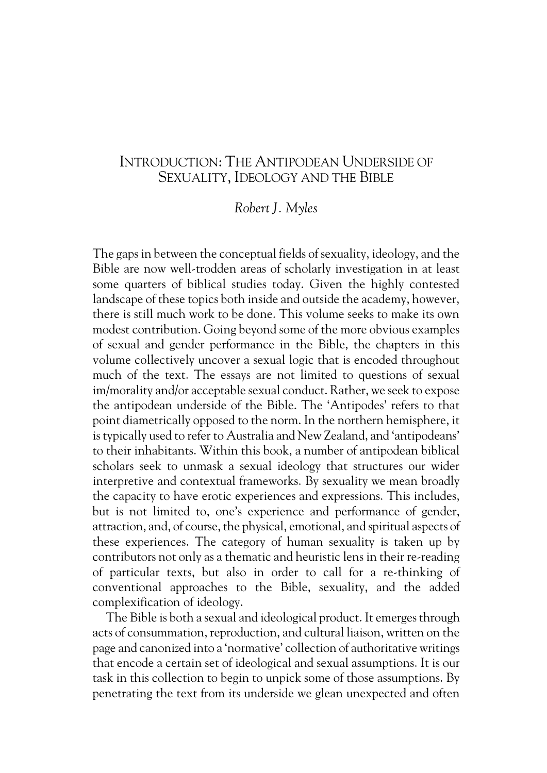## INTRODUCTION: THE ANTIPODEAN UNDERSIDE OF SEXUALITY, IDEOLOGY AND THE BIBLE

## *Robert J. Myles*

The gaps in between the conceptual fields of sexuality, ideology, and the Bible are now well-trodden areas of scholarly investigation in at least some quarters of biblical studies today. Given the highly contested landscape of these topics both inside and outside the academy, however, there is still much work to be done. This volume seeks to make its own modest contribution. Going beyond some of the more obvious examples of sexual and gender performance in the Bible, the chapters in this volume collectively uncover a sexual logic that is encoded throughout much of the text. The essays are not limited to questions of sexual im/morality and/or acceptable sexual conduct. Rather, we seek to expose the antipodean underside of the Bible. The 'Antipodes' refers to that point diametrically opposed to the norm. In the northern hemisphere, it is typically used to refer to Australia and New Zealand, and 'antipodeans' to their inhabitants. Within this book, a number of antipodean biblical scholars seek to unmask a sexual ideology that structures our wider interpretive and contextual frameworks. By sexuality we mean broadly the capacity to have erotic experiences and expressions. This includes, but is not limited to, one's experience and performance of gender, attraction, and, of course, the physical, emotional, and spiritual aspects of these experiences. The category of human sexuality is taken up by contributors not only as a thematic and heuristic lens in their re-reading of particular texts, but also in order to call for a re-thinking of conventional approaches to the Bible, sexuality, and the added complexification of ideology.

 The Bible is both a sexual and ideological product. It emerges through acts of consummation, reproduction, and cultural liaison, written on the page and canonized into a 'normative' collection of authoritative writings that encode a certain set of ideological and sexual assumptions. It is our task in this collection to begin to unpick some of those assumptions. By penetrating the text from its underside we glean unexpected and often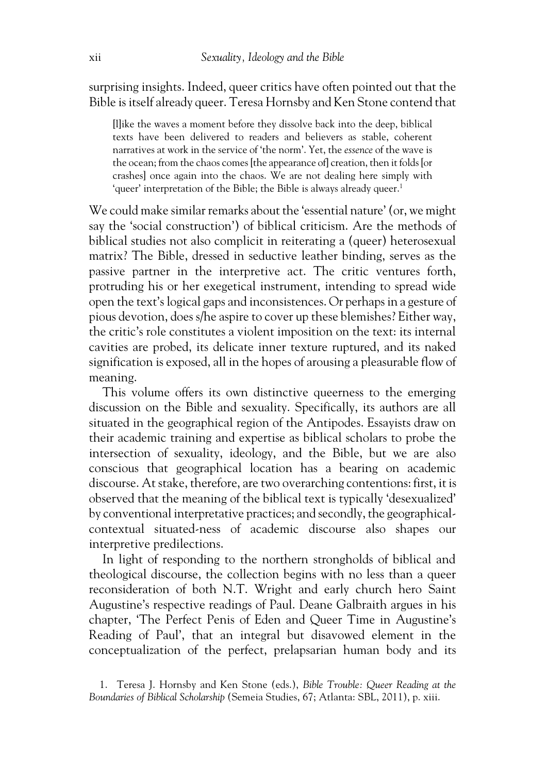surprising insights. Indeed, queer critics have often pointed out that the Bible is itself already queer. Teresa Hornsby and Ken Stone contend that

[l]ike the waves a moment before they dissolve back into the deep, biblical texts have been delivered to readers and believers as stable, coherent narratives at work in the service of 'the norm'. Yet, the *essence* of the wave is the ocean; from the chaos comes [the appearance of] creation, then it folds [or crashes] once again into the chaos. We are not dealing here simply with 'queer' interpretation of the Bible; the Bible is always already queer.<sup>1</sup>

We could make similar remarks about the 'essential nature' (or, we might say the 'social construction') of biblical criticism. Are the methods of biblical studies not also complicit in reiterating a (queer) heterosexual matrix? The Bible, dressed in seductive leather binding, serves as the passive partner in the interpretive act. The critic ventures forth, protruding his or her exegetical instrument, intending to spread wide open the text's logical gaps and inconsistences. Or perhaps in a gesture of pious devotion, does s/he aspire to cover up these blemishes? Either way, the critic's role constitutes a violent imposition on the text: its internal cavities are probed, its delicate inner texture ruptured, and its naked signification is exposed, all in the hopes of arousing a pleasurable flow of meaning.

 This volume offers its own distinctive queerness to the emerging discussion on the Bible and sexuality. Specifically, its authors are all situated in the geographical region of the Antipodes. Essayists draw on their academic training and expertise as biblical scholars to probe the intersection of sexuality, ideology, and the Bible, but we are also conscious that geographical location has a bearing on academic discourse. At stake, therefore, are two overarching contentions: first, it is observed that the meaning of the biblical text is typically 'desexualized' by conventional interpretative practices; and secondly, the geographicalcontextual situated-ness of academic discourse also shapes our interpretive predilections.

 In light of responding to the northern strongholds of biblical and theological discourse, the collection begins with no less than a queer reconsideration of both N.T. Wright and early church hero Saint Augustine's respective readings of Paul. Deane Galbraith argues in his chapter, 'The Perfect Penis of Eden and Queer Time in Augustine's Reading of Paul', that an integral but disavowed element in the conceptualization of the perfect, prelapsarian human body and its

 <sup>1.</sup> Teresa J. Hornsby and Ken Stone (eds.), *Bible Trouble: Queer Reading at the Boundaries of Biblical Scholarship* (Semeia Studies, 67; Atlanta: SBL, 2011), p. xiii.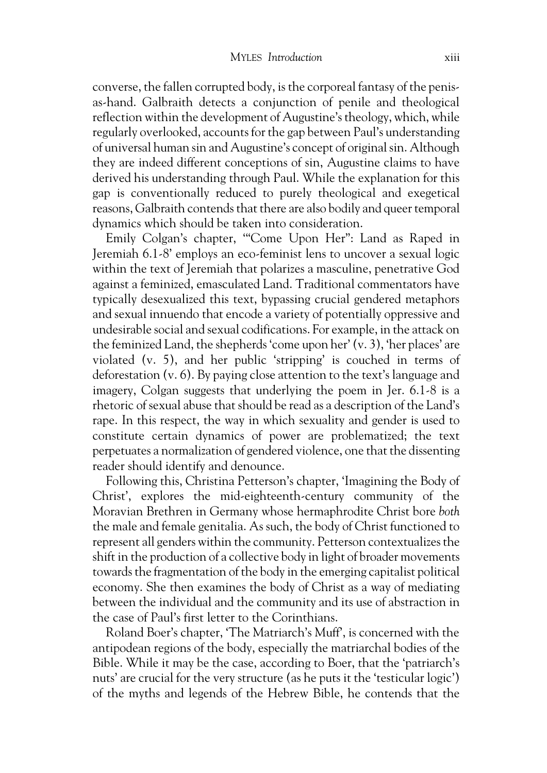converse, the fallen corrupted body, is the corporeal fantasy of the penisas-hand. Galbraith detects a conjunction of penile and theological reflection within the development of Augustine's theology, which, while regularly overlooked, accounts for the gap between Paul's understanding of universal human sin and Augustine's concept of original sin. Although they are indeed different conceptions of sin, Augustine claims to have derived his understanding through Paul. While the explanation for this gap is conventionally reduced to purely theological and exegetical reasons, Galbraith contends that there are also bodily and queer temporal dynamics which should be taken into consideration.

 Emily Colgan's chapter, '"Come Upon Her": Land as Raped in Jeremiah 6.1-8' employs an eco-feminist lens to uncover a sexual logic within the text of Jeremiah that polarizes a masculine, penetrative God against a feminized, emasculated Land. Traditional commentators have typically desexualized this text, bypassing crucial gendered metaphors and sexual innuendo that encode a variety of potentially oppressive and undesirable social and sexual codifications. For example, in the attack on the feminized Land, the shepherds 'come upon her' (v. 3), 'her places' are violated (v. 5), and her public 'stripping' is couched in terms of deforestation (v. 6). By paying close attention to the text's language and imagery, Colgan suggests that underlying the poem in Jer. 6.1-8 is a rhetoric of sexual abuse that should be read as a description of the Land's rape. In this respect, the way in which sexuality and gender is used to constitute certain dynamics of power are problematized; the text perpetuates a normalization of gendered violence, one that the dissenting reader should identify and denounce.

 Following this, Christina Petterson's chapter, 'Imagining the Body of Christ', explores the mid-eighteenth-century community of the Moravian Brethren in Germany whose hermaphrodite Christ bore *both* the male and female genitalia. As such, the body of Christ functioned to represent all genders within the community. Petterson contextualizes the shift in the production of a collective body in light of broader movements towards the fragmentation of the body in the emerging capitalist political economy. She then examines the body of Christ as a way of mediating between the individual and the community and its use of abstraction in the case of Paul's first letter to the Corinthians.

 Roland Boer's chapter, 'The Matriarch's Muff', is concerned with the antipodean regions of the body, especially the matriarchal bodies of the Bible. While it may be the case, according to Boer, that the 'patriarch's nuts' are crucial for the very structure (as he puts it the 'testicular logic') of the myths and legends of the Hebrew Bible, he contends that the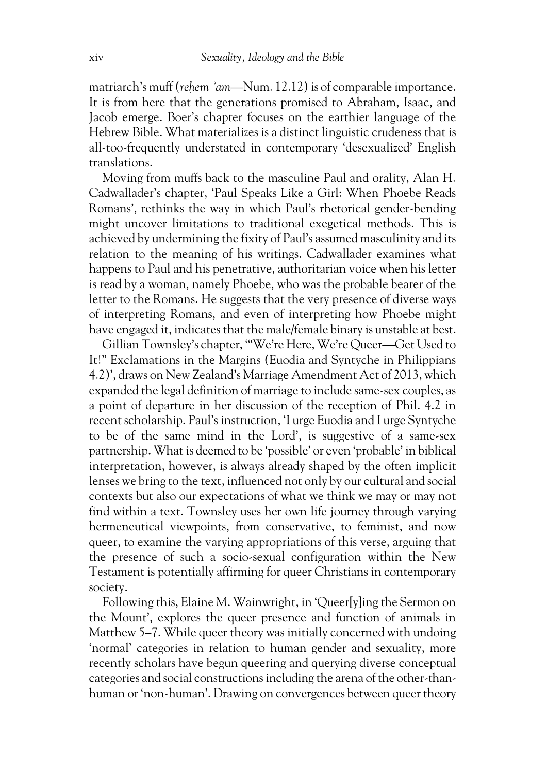matriarch's muff (*rehem 'am*—Num. 12.12) is of comparable importance. It is from here that the generations promised to Abraham, Isaac, and Jacob emerge. Boer's chapter focuses on the earthier language of the Hebrew Bible. What materializes is a distinct linguistic crudeness that is all-too-frequently understated in contemporary 'desexualized' English translations.

 Moving from muffs back to the masculine Paul and orality, Alan H. Cadwallader's chapter, 'Paul Speaks Like a Girl: When Phoebe Reads Romans', rethinks the way in which Paul's rhetorical gender-bending might uncover limitations to traditional exegetical methods. This is achieved by undermining the fixity of Paul's assumed masculinity and its relation to the meaning of his writings. Cadwallader examines what happens to Paul and his penetrative, authoritarian voice when his letter is read by a woman, namely Phoebe, who was the probable bearer of the letter to the Romans. He suggests that the very presence of diverse ways of interpreting Romans, and even of interpreting how Phoebe might have engaged it, indicates that the male/female binary is unstable at best.

 Gillian Townsley's chapter, '"We're Here, We're Queer—Get Used to It!" Exclamations in the Margins (Euodia and Syntyche in Philippians 4.2)', draws on New Zealand's Marriage Amendment Act of 2013, which expanded the legal definition of marriage to include same-sex couples, as a point of departure in her discussion of the reception of Phil. 4.2 in recent scholarship. Paul's instruction, 'I urge Euodia and I urge Syntyche to be of the same mind in the Lord', is suggestive of a same-sex partnership. What is deemed to be 'possible' or even 'probable' in biblical interpretation, however, is always already shaped by the often implicit lenses we bring to the text, influenced not only by our cultural and social contexts but also our expectations of what we think we may or may not find within a text. Townsley uses her own life journey through varying hermeneutical viewpoints, from conservative, to feminist, and now queer, to examine the varying appropriations of this verse, arguing that the presence of such a socio-sexual configuration within the New Testament is potentially affirming for queer Christians in contemporary society.

 Following this, Elaine M. Wainwright, in 'Queer[y]ing the Sermon on the Mount', explores the queer presence and function of animals in Matthew 5–7. While queer theory was initially concerned with undoing 'normal' categories in relation to human gender and sexuality, more recently scholars have begun queering and querying diverse conceptual categories and social constructions including the arena of the other-thanhuman or 'non-human'. Drawing on convergences between queer theory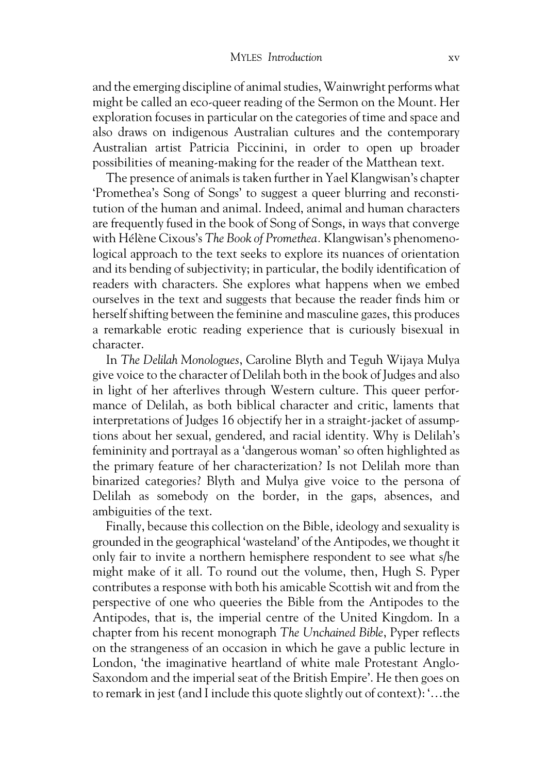and the emerging discipline of animal studies, Wainwright performs what might be called an eco-queer reading of the Sermon on the Mount. Her exploration focuses in particular on the categories of time and space and also draws on indigenous Australian cultures and the contemporary Australian artist Patricia Piccinini, in order to open up broader possibilities of meaning-making for the reader of the Matthean text.

 The presence of animals is taken further in Yael Klangwisan's chapter 'Promethea's Song of Songs' to suggest a queer blurring and reconstitution of the human and animal. Indeed, animal and human characters are frequently fused in the book of Song of Songs, in ways that converge with Hélène Cixous's *The Book of Promethea.* Klangwisan's phenomenological approach to the text seeks to explore its nuances of orientation and its bending of subjectivity; in particular, the bodily identification of readers with characters. She explores what happens when we embed ourselves in the text and suggests that because the reader finds him or herself shifting between the feminine and masculine gazes, this produces a remarkable erotic reading experience that is curiously bisexual in character.

 In *The Delilah Monologues*, Caroline Blyth and Teguh Wijaya Mulya give voice to the character of Delilah both in the book of Judges and also in light of her afterlives through Western culture. This queer performance of Delilah, as both biblical character and critic, laments that interpretations of Judges 16 objectify her in a straight-jacket of assumptions about her sexual, gendered, and racial identity. Why is Delilah's femininity and portrayal as a 'dangerous woman' so often highlighted as the primary feature of her characterization? Is not Delilah more than binarized categories? Blyth and Mulya give voice to the persona of Delilah as somebody on the border, in the gaps, absences, and ambiguities of the text.

 Finally, because this collection on the Bible, ideology and sexuality is grounded in the geographical 'wasteland' of the Antipodes, we thought it only fair to invite a northern hemisphere respondent to see what s/he might make of it all. To round out the volume, then, Hugh S. Pyper contributes a response with both his amicable Scottish wit and from the perspective of one who queeries the Bible from the Antipodes to the Antipodes, that is, the imperial centre of the United Kingdom. In a chapter from his recent monograph *The Unchained Bible*, Pyper reflects on the strangeness of an occasion in which he gave a public lecture in London, 'the imaginative heartland of white male Protestant Anglo-Saxondom and the imperial seat of the British Empire'. He then goes on to remark in jest (and I include this quote slightly out of context): '…the